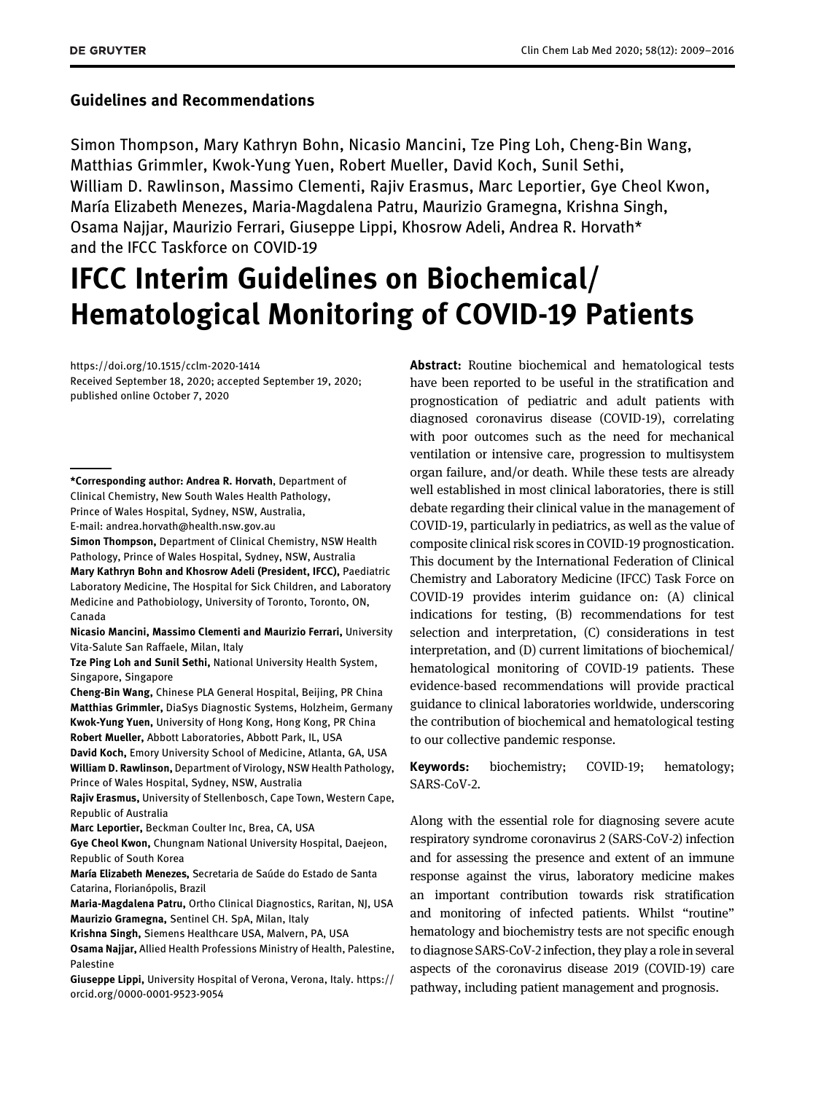### Guidelines and Recommendations

Simon Thompson, Mary Kathryn Bohn, Nicasio Mancini, Tze Ping Loh, Cheng-Bin Wang, Matthias Grimmler, Kwok-Yung Yuen, Robert Mueller, David Koch, Sunil Sethi, William D. Rawlinson, Massimo Clementi, Rajiv Erasmus, Marc Leportier, Gye Cheol Kwon, María Elizabeth Menezes, Maria-Magdalena Patru, Maurizio Gramegna, Krishna Singh, Osama Najjar, Maurizio Ferrari, Giuseppe Lippi, Khosrow Adeli, Andrea R. Horvath\* and the IFCC Taskforce on COVID-19

# IFCC Interim Guidelines on Biochemical/ Hematological Monitoring of COVID-19 Patients

<https://doi.org/10.1515/cclm-2020-1414> Received September 18, 2020; accepted September 19, 2020; published online October 7, 2020

\*Corresponding author: Andrea R. Horvath, Department of Clinical Chemistry, New South Wales Health Pathology, Prince of Wales Hospital, Sydney, NSW, Australia, E-mail: [andrea.horvath@health.nsw.gov.au](mailto:andrea.horvath@health.nsw.gov.au)

Simon Thompson, Department of Clinical Chemistry, NSW Health Pathology, Prince of Wales Hospital, Sydney, NSW, Australia Mary Kathryn Bohn and Khosrow Adeli (President, IFCC), Paediatric Laboratory Medicine, The Hospital for Sick Children, and Laboratory Medicine and Pathobiology, University of Toronto, Toronto, ON, Canada

Nicasio Mancini, Massimo Clementi and Maurizio Ferrari, University Vita-Salute San Raffaele, Milan, Italy

Tze Ping Loh and Sunil Sethi, National University Health System, Singapore, Singapore

Cheng-Bin Wang, Chinese PLA General Hospital, Beijing, PR China Matthias Grimmler, DiaSys Diagnostic Systems, Holzheim, Germany Kwok-Yung Yuen, University of Hong Kong, Hong Kong, PR China Robert Mueller, Abbott Laboratories, Abbott Park, IL, USA

David Koch, Emory University School of Medicine, Atlanta, GA, USA William D. Rawlinson, Department of Virology, NSW Health Pathology, Prince of Wales Hospital, Sydney, NSW, Australia

Rajiv Erasmus, University of Stellenbosch, Cape Town, Western Cape, Republic of Australia

Marc Leportier, Beckman Coulter Inc, Brea, CA, USA

Gye Cheol Kwon, Chungnam National University Hospital, Daejeon, Republic of South Korea

María Elizabeth Menezes, Secretaria de Saúde do Estado de Santa Catarina, Florianópolis, Brazil

Maria-Magdalena Patru, Ortho Clinical Diagnostics, Raritan, NJ, USA Maurizio Gramegna, Sentinel CH. SpA, Milan, Italy

Krishna Singh, Siemens Healthcare USA, Malvern, PA, USA

Osama Najjar, Allied Health Professions Ministry of Health, Palestine, Palestine

Giuseppe Lippi, University Hospital of Verona, Verona, Italy. [https://](https://orcid.org/0000-0001-9523-9054) [orcid.org/0000-0001-9523-9054](https://orcid.org/0000-0001-9523-9054)

Abstract: Routine biochemical and hematological tests have been reported to be useful in the stratification and prognostication of pediatric and adult patients with diagnosed coronavirus disease (COVID-19), correlating with poor outcomes such as the need for mechanical ventilation or intensive care, progression to multisystem organ failure, and/or death. While these tests are already well established in most clinical laboratories, there is still debate regarding their clinical value in the management of COVID-19, particularly in pediatrics, as well as the value of composite clinical risk scores in COVID-19 prognostication. This document by the International Federation of Clinical Chemistry and Laboratory Medicine (IFCC) Task Force on COVID-19 provides interim guidance on: (A) clinical indications for testing, (B) recommendations for test selection and interpretation, (C) considerations in test interpretation, and (D) current limitations of biochemical/ hematological monitoring of COVID-19 patients. These evidence-based recommendations will provide practical guidance to clinical laboratories worldwide, underscoring the contribution of biochemical and hematological testing to our collective pandemic response.

Keywords: biochemistry; COVID-19; hematology; SARS-CoV-2.

Along with the essential role for diagnosing severe acute respiratory syndrome coronavirus 2 (SARS-CoV-2) infection and for assessing the presence and extent of an immune response against the virus, laboratory medicine makes an important contribution towards risk stratification and monitoring of infected patients. Whilst "routine" hematology and biochemistry tests are not specific enough to diagnose SARS-CoV-2 infection, they play a role in several aspects of the coronavirus disease 2019 (COVID-19) care pathway, including patient management and prognosis.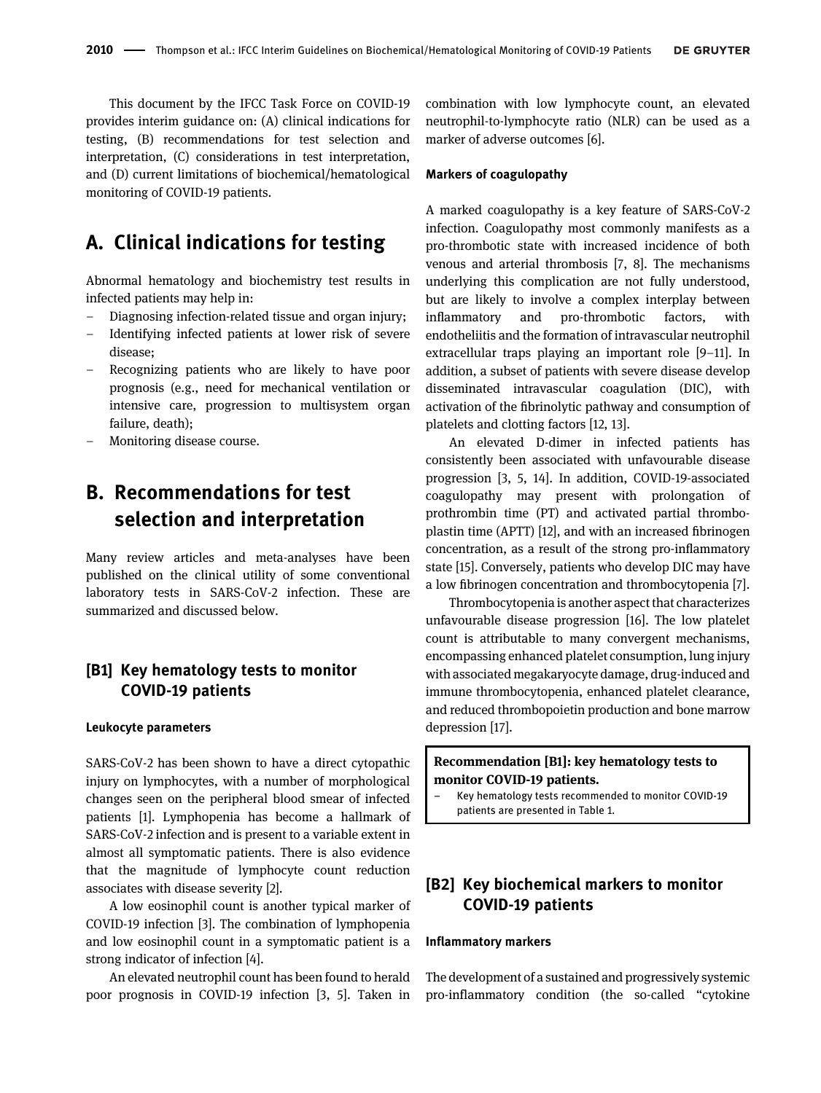This document by the IFCC Task Force on COVID-19 provides interim guidance on: (A) clinical indications for testing, (B) recommendations for test selection and interpretation, (C) considerations in test interpretation, and (D) current limitations of biochemical/hematological monitoring of COVID-19 patients.

# A. Clinical indications for testing

Abnormal hematology and biochemistry test results in infected patients may help in:

- Diagnosing infection-related tissue and organ injury;
- Identifying infected patients at lower risk of severe disease;
- Recognizing patients who are likely to have poor prognosis (e.g., need for mechanical ventilation or intensive care, progression to multisystem organ failure, death);
- Monitoring disease course.

# B. Recommendations for test selection and interpretation

Many review articles and meta-analyses have been published on the clinical utility of some conventional laboratory tests in SARS-CoV-2 infection. These are summarized and discussed below.

### [B1] Key hematology tests to monitor COVID-19 patients

#### Leukocyte parameters

SARS-CoV-2 has been shown to have a direct cytopathic injury on lymphocytes, with a number of morphological changes seen on the peripheral blood smear of infected patients [\[1](#page-5-0)]. Lymphopenia has become a hallmark of SARS-CoV-2 infection and is present to a variable extent in almost all symptomatic patients. There is also evidence that the magnitude of lymphocyte count reduction associates with disease severity [[2\]](#page-5-1).

A low eosinophil count is another typical marker of COVID-19 infection [[3](#page-5-2)]. The combination of lymphopenia and low eosinophil count in a symptomatic patient is a strong indicator of infection [\[4](#page-5-3)].

An elevated neutrophil count has been found to herald poor prognosis in COVID-19 infection [\[3, 5](#page-5-2)]. Taken in combination with low lymphocyte count, an elevated neutrophil-to-lymphocyte ratio (NLR) can be used as a marker of adverse outcomes [[6\]](#page-5-4).

#### Markers of coagulopathy

A marked coagulopathy is a key feature of SARS-CoV-2 infection. Coagulopathy most commonly manifests as a pro-thrombotic state with increased incidence of both venous and arterial thrombosis [\[7, 8\]](#page-5-5). The mechanisms underlying this complication are not fully understood, but are likely to involve a complex interplay between inflammatory and pro-thrombotic factors, with endotheliitis and the formation of intravascular neutrophil extracellular traps playing an important role [9–[11\]](#page-5-6). In addition, a subset of patients with severe disease develop disseminated intravascular coagulation (DIC), with activation of the fibrinolytic pathway and consumption of platelets and clotting factors [\[12, 13\]](#page-5-7).

An elevated D-dimer in infected patients has consistently been associated with unfavourable disease progression [[3, 5, 14\]](#page-5-2). In addition, COVID-19-associated coagulopathy may present with prolongation of prothrombin time (PT) and activated partial thromboplastin time (APTT) [\[12](#page-5-7)], and with an increased fibrinogen concentration, as a result of the strong pro-inflammatory state [\[15\]](#page-5-8). Conversely, patients who develop DIC may have a low fibrinogen concentration and thrombocytopenia [\[7\]](#page-5-5).

Thrombocytopenia is another aspect that characterizes unfavourable disease progression [[16\]](#page-5-9). The low platelet count is attributable to many convergent mechanisms, encompassing enhanced platelet consumption, lung injury with associated megakaryocyte damage, drug-induced and immune thrombocytopenia, enhanced platelet clearance, and reduced thrombopoietin production and bone marrow depression [\[17\]](#page-6-0).

### Recommendation [B1]: key hematology tests to monitor COVID-19 patients.

– Key hematology tests recommended to monitor COVID-19 patients are presented in Table 1.

# [B2] Key biochemical markers to monitor COVID-19 patients

#### Inflammatory markers

The development of a sustained and progressively systemic pro-inflammatory condition (the so-called "cytokine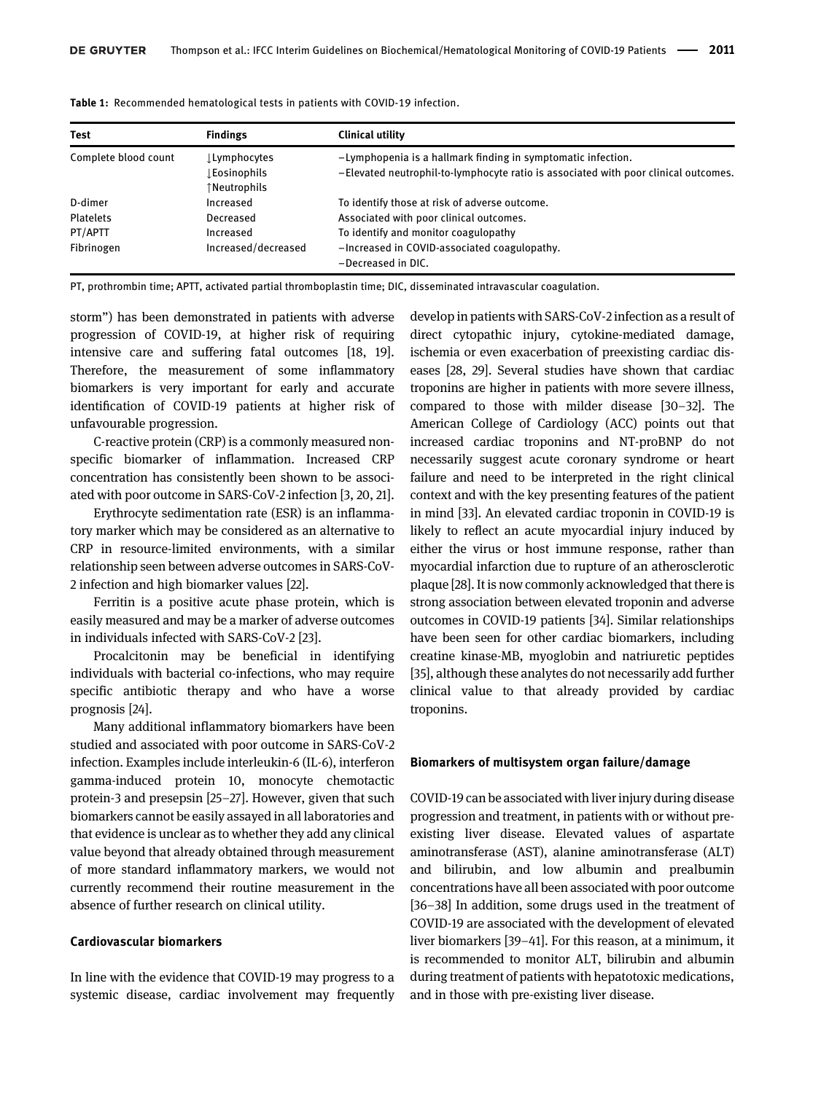| <b>Test</b>          | <b>Findings</b>                             | Clinical utility                                                                                                                                    |
|----------------------|---------------------------------------------|-----------------------------------------------------------------------------------------------------------------------------------------------------|
| Complete blood count | ⊥Lymphocytes<br>Eosinophils<br>↑Neutrophils | -Lymphopenia is a hallmark finding in symptomatic infection.<br>-Elevated neutrophil-to-lymphocyte ratio is associated with poor clinical outcomes. |
| D-dimer              | Increased                                   | To identify those at risk of adverse outcome.                                                                                                       |
| <b>Platelets</b>     | Decreased                                   | Associated with poor clinical outcomes.                                                                                                             |
| PT/APTT              | Increased                                   | To identify and monitor coagulopathy                                                                                                                |
| Fibrinogen           | Increased/decreased                         | -Increased in COVID-associated coagulopathy.<br>-Decreased in DIC.                                                                                  |

Table 1: Recommended hematological tests in patients with COVID-19 infection.

PT, prothrombin time; APTT, activated partial thromboplastin time; DIC, disseminated intravascular coagulation.

storm") has been demonstrated in patients with adverse progression of COVID-19, at higher risk of requiring intensive care and suffering fatal outcomes [\[18, 19\]](#page-6-1). Therefore, the measurement of some inflammatory biomarkers is very important for early and accurate identification of COVID-19 patients at higher risk of unfavourable progression.

C-reactive protein (CRP) is a commonly measured nonspecific biomarker of inflammation. Increased CRP concentration has consistently been shown to be associated with poor outcome in SARS-CoV-2 infection [[3, 20, 21\]](#page-5-2).

Erythrocyte sedimentation rate (ESR) is an inflammatory marker which may be considered as an alternative to CRP in resource-limited environments, with a similar relationship seen between adverse outcomes in SARS-CoV-2 infection and high biomarker values [[22\]](#page-6-2).

Ferritin is a positive acute phase protein, which is easily measured and may be a marker of adverse outcomes in individuals infected with SARS-CoV-2 [\[23\]](#page-6-3).

Procalcitonin may be beneficial in identifying individuals with bacterial co-infections, who may require specific antibiotic therapy and who have a worse prognosis [\[24](#page-6-4)].

Many additional inflammatory biomarkers have been studied and associated with poor outcome in SARS-CoV-2 infection. Examples include interleukin-6 (IL-6), interferon gamma-induced protein 10, monocyte chemotactic protein-3 and presepsin [25–[27](#page-6-5)]. However, given that such biomarkers cannot be easily assayed in all laboratories and that evidence is unclear as to whether they add any clinical value beyond that already obtained through measurement of more standard inflammatory markers, we would not currently recommend their routine measurement in the absence of further research on clinical utility.

#### Cardiovascular biomarkers

In line with the evidence that COVID-19 may progress to a systemic disease, cardiac involvement may frequently develop in patients with SARS-CoV-2 infection as a result of direct cytopathic injury, cytokine-mediated damage, ischemia or even exacerbation of preexisting cardiac diseases [[28, 29\]](#page-6-6). Several studies have shown that cardiac troponins are higher in patients with more severe illness, compared to those with milder disease [\[30](#page-6-7)–32]. The American College of Cardiology (ACC) points out that increased cardiac troponins and NT-proBNP do not necessarily suggest acute coronary syndrome or heart failure and need to be interpreted in the right clinical context and with the key presenting features of the patient in mind [\[33](#page-6-8)]. An elevated cardiac troponin in COVID-19 is likely to reflect an acute myocardial injury induced by either the virus or host immune response, rather than myocardial infarction due to rupture of an atherosclerotic plaque [[28](#page-6-6)]. It is now commonly acknowledged that there is strong association between elevated troponin and adverse outcomes in COVID-19 patients [\[34\]](#page-6-9). Similar relationships have been seen for other cardiac biomarkers, including creatine kinase-MB, myoglobin and natriuretic peptides [\[35](#page-6-10)], although these analytes do not necessarily add further clinical value to that already provided by cardiac troponins.

#### Biomarkers of multisystem organ failure/damage

COVID-19 can be associated with liver injury during disease progression and treatment, in patients with or without preexisting liver disease. Elevated values of aspartate aminotransferase (AST), alanine aminotransferase (ALT) and bilirubin, and low albumin and prealbumin concentrations have all been associated with poor outcome [\[36](#page-6-11)–38] In addition, some drugs used in the treatment of COVID-19 are associated with the development of elevated liver biomarkers [39–[41\]](#page-6-12). For this reason, at a minimum, it is recommended to monitor ALT, bilirubin and albumin during treatment of patients with hepatotoxic medications, and in those with pre-existing liver disease.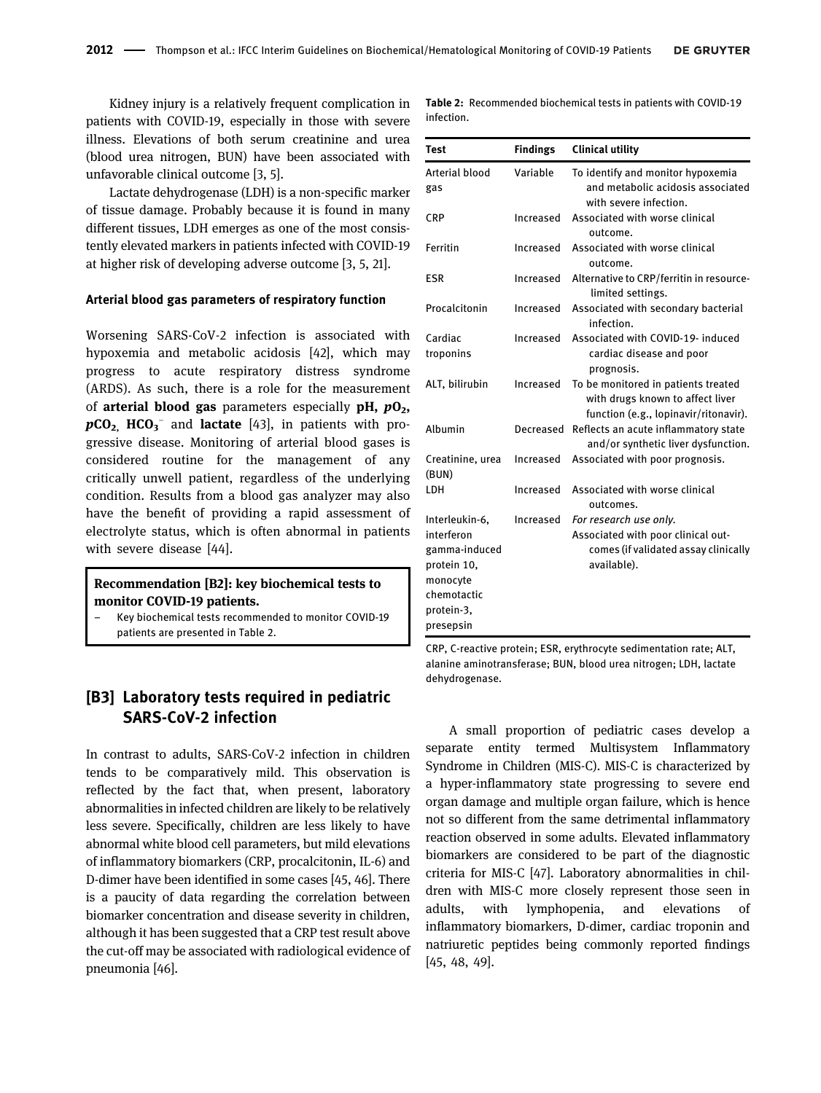Kidney injury is a relatively frequent complication in patients with COVID-19, especially in those with severe illness. Elevations of both serum creatinine and urea (blood urea nitrogen, BUN) have been associated with unfavorable clinical outcome [\[3, 5\]](#page-5-2).

Lactate dehydrogenase (LDH) is a non-specific marker of tissue damage. Probably because it is found in many different tissues, LDH emerges as one of the most consistently elevated markers in patients infected with COVID-19 at higher risk of developing adverse outcome [\[3, 5, 21](#page-5-2)].

#### Arterial blood gas parameters of respiratory function

Worsening SARS-CoV-2 infection is associated with hypoxemia and metabolic acidosis [\[42\]](#page-6-13), which may progress to acute respiratory distress syndrome (ARDS). As such, there is a role for the measurement of arterial blood gas parameters especially  $pH$ ,  $pO<sub>2</sub>$ ,  $pCO<sub>2</sub>$ , HCO<sub>3</sub><sup>-</sup> and lactate [[43](#page-6-14)], in patients with progressive disease. Monitoring of arterial blood gases is considered routine for the management of any critically unwell patient, regardless of the underlying condition. Results from a blood gas analyzer may also have the benefit of providing a rapid assessment of electrolyte status, which is often abnormal in patients with severe disease [\[44\]](#page-6-15).

#### Recommendation [B2]: key biochemical tests to monitor COVID-19 patients.

– Key biochemical tests recommended to monitor COVID-19 patients are presented in [Table 2](#page-3-0).

### [B3] Laboratory tests required in pediatric SARS-CoV-2 infection

In contrast to adults, SARS-CoV-2 infection in children tends to be comparatively mild. This observation is reflected by the fact that, when present, laboratory abnormalities in infected children are likely to be relatively less severe. Specifically, children are less likely to have abnormal white blood cell parameters, but mild elevations of inflammatory biomarkers (CRP, procalcitonin, IL-6) and D-dimer have been identified in some cases [[45, 46](#page-6-16)]. There is a paucity of data regarding the correlation between biomarker concentration and disease severity in children, although it has been suggested that a CRP test result above the cut-off may be associated with radiological evidence of pneumonia [\[46\]](#page-6-17).

<span id="page-3-0"></span>Table 2: Recommended biochemical tests in patients with COVID-19 infection.

| <b>Test</b>               | <b>Findings</b> | <b>Clinical utility</b>                                                                                          |
|---------------------------|-----------------|------------------------------------------------------------------------------------------------------------------|
| Arterial blood<br>gas     | Variable        | To identify and monitor hypoxemia<br>and metabolic acidosis associated<br>with severe infection.                 |
| <b>CRP</b>                | Increased       | Associated with worse clinical<br>outcome.                                                                       |
| Ferritin                  | Increased       | Associated with worse clinical<br>outcome.                                                                       |
| <b>ESR</b>                | Increased       | Alternative to CRP/ferritin in resource-<br>limited settings.                                                    |
| Procalcitonin             | Increased       | Associated with secondary bacterial<br>infection.                                                                |
| Cardiac<br>troponins      | Increased       | Associated with COVID-19- induced<br>cardiac disease and poor<br>prognosis.                                      |
| ALT, bilirubin            | Increased       | To be monitored in patients treated<br>with drugs known to affect liver<br>function (e.g., lopinavir/ritonavir). |
| Albumin                   | Decreased       | Reflects an acute inflammatory state<br>and/or synthetic liver dysfunction.                                      |
| Creatinine, urea<br>(BUN) | Increased       | Associated with poor prognosis.                                                                                  |
| LDH                       | Increased       | Associated with worse clinical<br>outcomes.                                                                      |
| Interleukin-6,            | Increased       | For research use only.                                                                                           |
| interferon                |                 | Associated with poor clinical out-                                                                               |
| gamma-induced             |                 | comes (if validated assay clinically                                                                             |
| protein 10,               |                 | available).                                                                                                      |
| monocyte                  |                 |                                                                                                                  |
| chemotactic               |                 |                                                                                                                  |
| protein-3,                |                 |                                                                                                                  |
| presepsin                 |                 |                                                                                                                  |

CRP, C-reactive protein; ESR, erythrocyte sedimentation rate; ALT, alanine aminotransferase; BUN, blood urea nitrogen; LDH, lactate dehydrogenase.

A small proportion of pediatric cases develop a separate entity termed Multisystem Inflammatory Syndrome in Children (MIS-C). MIS-C is characterized by a hyper-inflammatory state progressing to severe end organ damage and multiple organ failure, which is hence not so different from the same detrimental inflammatory reaction observed in some adults. Elevated inflammatory biomarkers are considered to be part of the diagnostic criteria for MIS-C [\[47\]](#page-6-18). Laboratory abnormalities in children with MIS-C more closely represent those seen in adults, with lymphopenia, and elevations of inflammatory biomarkers, D-dimer, cardiac troponin and natriuretic peptides being commonly reported findings [[45, 48, 49\]](#page-6-16).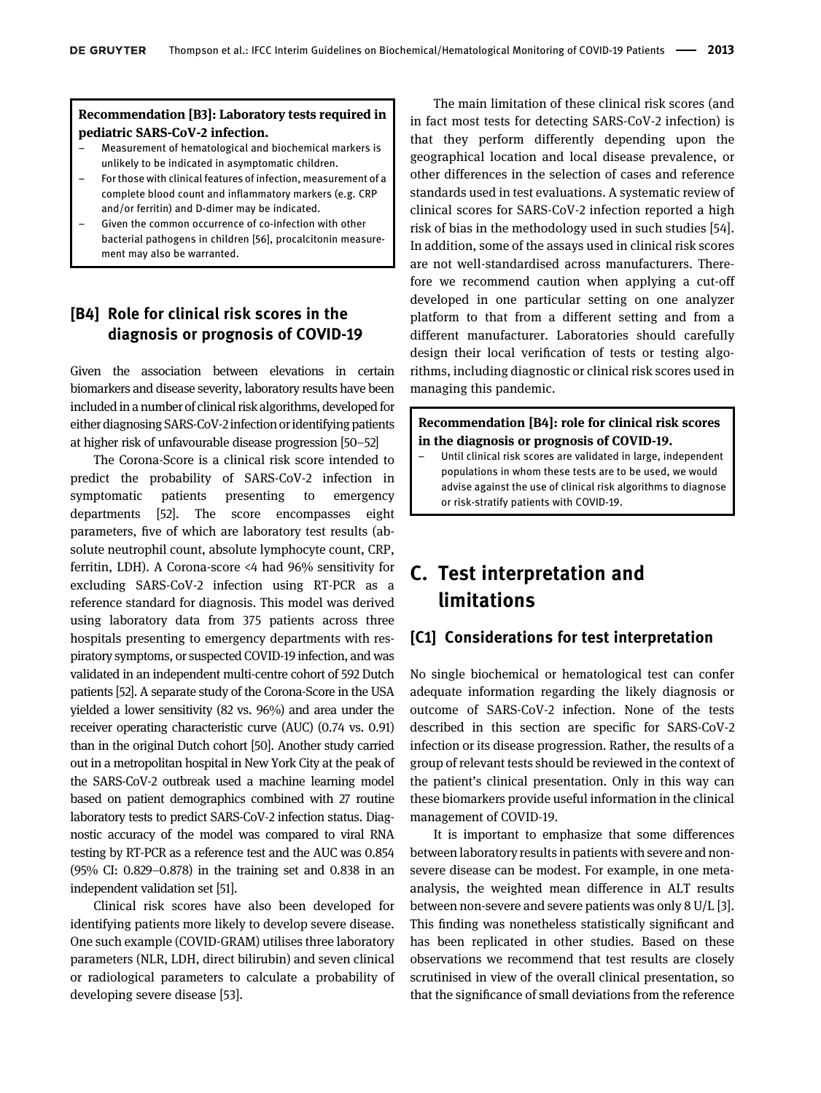#### Recommendation [B3]: Laboratory tests required in pediatric SARS-CoV-2 infection.

- Measurement of hematological and biochemical markers is unlikely to be indicated in asymptomatic children.
- For those with clinical features of infection, measurement of a complete blood count and inflammatory markers (e.g. CRP and/or ferritin) and D-dimer may be indicated.
- Given the common occurrence of co-infection with other bacterial pathogens in children [\[56\]](#page-7-0), procalcitonin measurement may also be warranted.

# [B4] Role for clinical risk scores in the diagnosis or prognosis of COVID-19

Given the association between elevations in certain biomarkers and disease severity, laboratory results have been included in a number of clinical risk algorithms, developed for either diagnosing SARS-CoV-2 infection or identifying patients at higher risk of unfavourable disease progression [[50](#page-6-19)–52]

The Corona-Score is a clinical risk score intended to predict the probability of SARS-CoV-2 infection in symptomatic patients presenting to emergency departments [\[52\]](#page-7-1). The score encompasses eight parameters, five of which are laboratory test results (absolute neutrophil count, absolute lymphocyte count, CRP, ferritin, LDH). A Corona-score <4 had 96% sensitivity for excluding SARS-CoV-2 infection using RT-PCR as a reference standard for diagnosis. This model was derived using laboratory data from 375 patients across three hospitals presenting to emergency departments with respiratory symptoms, or suspected COVID-19 infection, and was validated in an independent multi-centre cohort of 592 Dutch patients [\[52\]](#page-7-1). A separate study of the Corona-Score in the USA yielded a lower sensitivity (82 vs. 96%) and area under the receiver operating characteristic curve (AUC) (0.74 vs. 0.91) than in the original Dutch cohort [[50](#page-6-19)]. Another study carried out in a metropolitan hospital in New York City at the peak of the SARS-CoV-2 outbreak used a machine learning model based on patient demographics combined with 27 routine laboratory tests to predict SARS-CoV-2 infection status. Diagnostic accuracy of the model was compared to viral RNA testing by RT-PCR as a reference test and the AUC was 0.854 (95% CI: 0.829–0.878) in the training set and 0.838 in an independent validation set [\[51](#page-6-20)].

Clinical risk scores have also been developed for identifying patients more likely to develop severe disease. One such example (COVID-GRAM) utilises three laboratory parameters (NLR, LDH, direct bilirubin) and seven clinical or radiological parameters to calculate a probability of developing severe disease [\[53](#page-7-2)].

The main limitation of these clinical risk scores (and in fact most tests for detecting SARS-CoV-2 infection) is that they perform differently depending upon the geographical location and local disease prevalence, or other differences in the selection of cases and reference standards used in test evaluations. A systematic review of clinical scores for SARS-CoV-2 infection reported a high risk of bias in the methodology used in such studies [[54](#page-7-3)]. In addition, some of the assays used in clinical risk scores are not well-standardised across manufacturers. Therefore we recommend caution when applying a cut-off developed in one particular setting on one analyzer platform to that from a different setting and from a different manufacturer. Laboratories should carefully design their local verification of tests or testing algorithms, including diagnostic or clinical risk scores used in managing this pandemic.

#### Recommendation [B4]: role for clinical risk scores in the diagnosis or prognosis of COVID-19.

– Until clinical risk scores are validated in large, independent populations in whom these tests are to be used, we would advise against the use of clinical risk algorithms to diagnose or risk-stratify patients with COVID-19.

# C. Test interpretation and limitations

### [C1] Considerations for test interpretation

No single biochemical or hematological test can confer adequate information regarding the likely diagnosis or outcome of SARS-CoV-2 infection. None of the tests described in this section are specific for SARS-CoV-2 infection or its disease progression. Rather, the results of a group of relevant tests should be reviewed in the context of the patient's clinical presentation. Only in this way can these biomarkers provide useful information in the clinical management of COVID-19.

It is important to emphasize that some differences between laboratory results in patients with severe and nonsevere disease can be modest. For example, in one metaanalysis, the weighted mean difference in ALT results between non-severe and severe patients was only 8 U/L [\[3\]](#page-5-2). This finding was nonetheless statistically significant and has been replicated in other studies. Based on these observations we recommend that test results are closely scrutinised in view of the overall clinical presentation, so that the significance of small deviations from the reference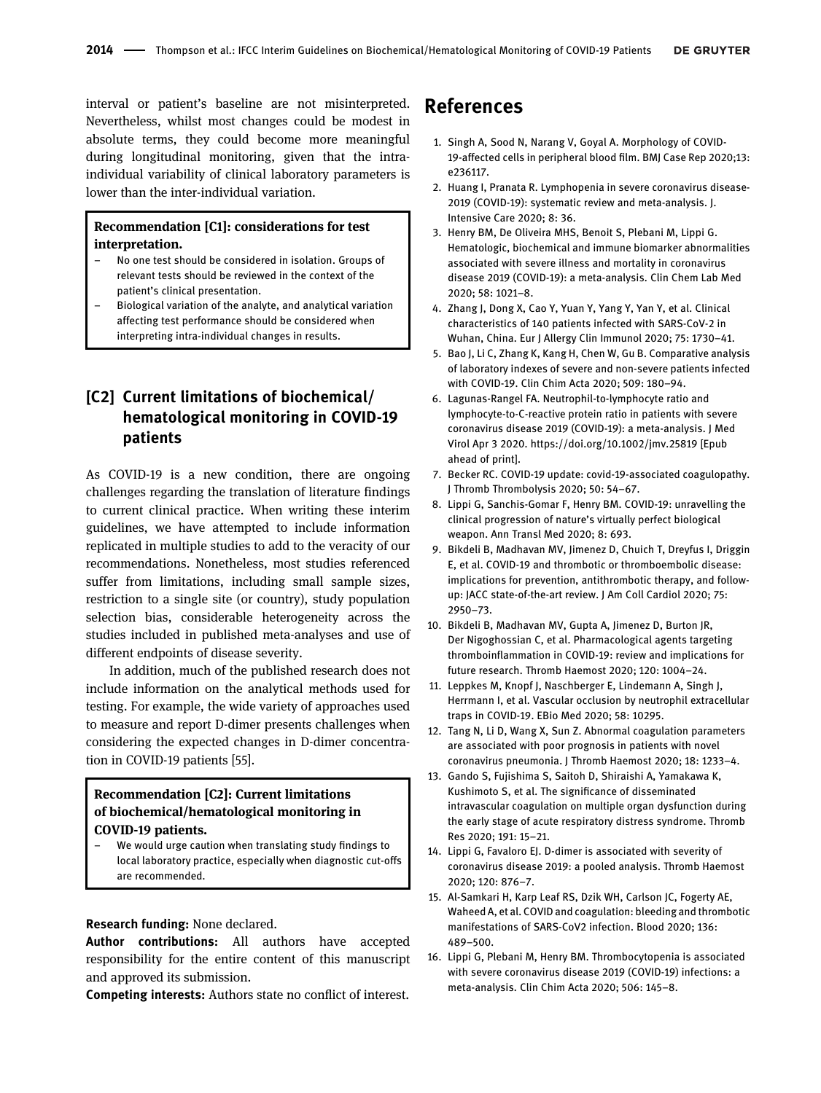interval or patient's baseline are not misinterpreted. Nevertheless, whilst most changes could be modest in absolute terms, they could become more meaningful during longitudinal monitoring, given that the intraindividual variability of clinical laboratory parameters is lower than the inter-individual variation.

#### Recommendation [C1]: considerations for test interpretation.

- No one test should be considered in isolation. Groups of relevant tests should be reviewed in the context of the patient's clinical presentation.
- Biological variation of the analyte, and analytical variation affecting test performance should be considered when interpreting intra-individual changes in results.

# [C2] Current limitations of biochemical/ hematological monitoring in COVID-19 patients

As COVID-19 is a new condition, there are ongoing challenges regarding the translation of literature findings to current clinical practice. When writing these interim guidelines, we have attempted to include information replicated in multiple studies to add to the veracity of our recommendations. Nonetheless, most studies referenced suffer from limitations, including small sample sizes, restriction to a single site (or country), study population selection bias, considerable heterogeneity across the studies included in published meta-analyses and use of different endpoints of disease severity.

In addition, much of the published research does not include information on the analytical methods used for testing. For example, the wide variety of approaches used to measure and report D-dimer presents challenges when considering the expected changes in D-dimer concentration in COVID-19 patients [[55\]](#page-7-4).

### Recommendation [C2]: Current limitations of biochemical/hematological monitoring in COVID-19 patients.

We would urge caution when translating study findings to local laboratory practice, especially when diagnostic cut-offs are recommended.

#### Research funding: None declared.

Author contributions: All authors have accepted responsibility for the entire content of this manuscript and approved its submission.

Competing interests: Authors state no conflict of interest.

# References

- <span id="page-5-0"></span>1. Singh A, Sood N, Narang V, Goyal A. Morphology of COVID-19-affected cells in peripheral blood film. BMJ Case Rep 2020;13: e236117.
- <span id="page-5-1"></span>2. Huang I, Pranata R. Lymphopenia in severe coronavirus disease-2019 (COVID-19): systematic review and meta-analysis. J. Intensive Care 2020; 8: 36.
- <span id="page-5-2"></span>3. Henry BM, De Oliveira MHS, Benoit S, Plebani M, Lippi G. Hematologic, biochemical and immune biomarker abnormalities associated with severe illness and mortality in coronavirus disease 2019 (COVID-19): a meta-analysis. Clin Chem Lab Med 2020; 58: 1021–8.
- <span id="page-5-3"></span>4. Zhang J, Dong X, Cao Y, Yuan Y, Yang Y, Yan Y, et al. Clinical characteristics of 140 patients infected with SARS-CoV-2 in Wuhan, China. Eur J Allergy Clin Immunol 2020; 75: 1730–41.
- 5. Bao J, Li C, Zhang K, Kang H, Chen W, Gu B. Comparative analysis of laboratory indexes of severe and non-severe patients infected with COVID-19. Clin Chim Acta 2020; 509: 180–94.
- <span id="page-5-4"></span>6. Lagunas-Rangel FA. Neutrophil-to-lymphocyte ratio and lymphocyte-to-C-reactive protein ratio in patients with severe coronavirus disease 2019 (COVID-19): a meta-analysis. J Med Virol Apr 3 2020.<https://doi.org/10.1002/jmv.25819> [Epub ahead of print].
- <span id="page-5-5"></span>7. Becker RC. COVID-19 update: covid-19-associated coagulopathy. J Thromb Thrombolysis 2020; 50: 54–67.
- 8. Lippi G, Sanchis-Gomar F, Henry BM. COVID-19: unravelling the clinical progression of nature's virtually perfect biological weapon. Ann Transl Med 2020; 8: 693.
- <span id="page-5-6"></span>9. Bikdeli B, Madhavan MV, Jimenez D, Chuich T, Dreyfus I, Driggin E, et al. COVID-19 and thrombotic or thromboembolic disease: implications for prevention, antithrombotic therapy, and followup: JACC state-of-the-art review. J Am Coll Cardiol 2020; 75: 2950–73.
- 10. Bikdeli B, Madhavan MV, Gupta A, Jimenez D, Burton JR, Der Nigoghossian C, et al. Pharmacological agents targeting thromboinflammation in COVID-19: review and implications for future research. Thromb Haemost 2020; 120: 1004–24.
- 11. Leppkes M, Knopf J, Naschberger E, Lindemann A, Singh J, Herrmann I, et al. Vascular occlusion by neutrophil extracellular traps in COVID-19. EBio Med 2020; 58: 10295.
- <span id="page-5-7"></span>12. Tang N, Li D, Wang X, Sun Z. Abnormal coagulation parameters are associated with poor prognosis in patients with novel coronavirus pneumonia. J Thromb Haemost 2020; 18: 1233–4.
- 13. Gando S, Fujishima S, Saitoh D, Shiraishi A, Yamakawa K, Kushimoto S, et al. The significance of disseminated intravascular coagulation on multiple organ dysfunction during the early stage of acute respiratory distress syndrome. Thromb Res 2020; 191: 15–21.
- 14. Lippi G, Favaloro EJ. D-dimer is associated with severity of coronavirus disease 2019: a pooled analysis. Thromb Haemost 2020; 120: 876–7.
- <span id="page-5-8"></span>15. Al-Samkari H, Karp Leaf RS, Dzik WH, Carlson JC, Fogerty AE, Waheed A, et al. COVID and coagulation: bleeding and thrombotic manifestations of SARS-CoV2 infection. Blood 2020; 136: 489–500.
- <span id="page-5-9"></span>16. Lippi G, Plebani M, Henry BM. Thrombocytopenia is associated with severe coronavirus disease 2019 (COVID-19) infections: a meta-analysis. Clin Chim Acta 2020; 506: 145–8.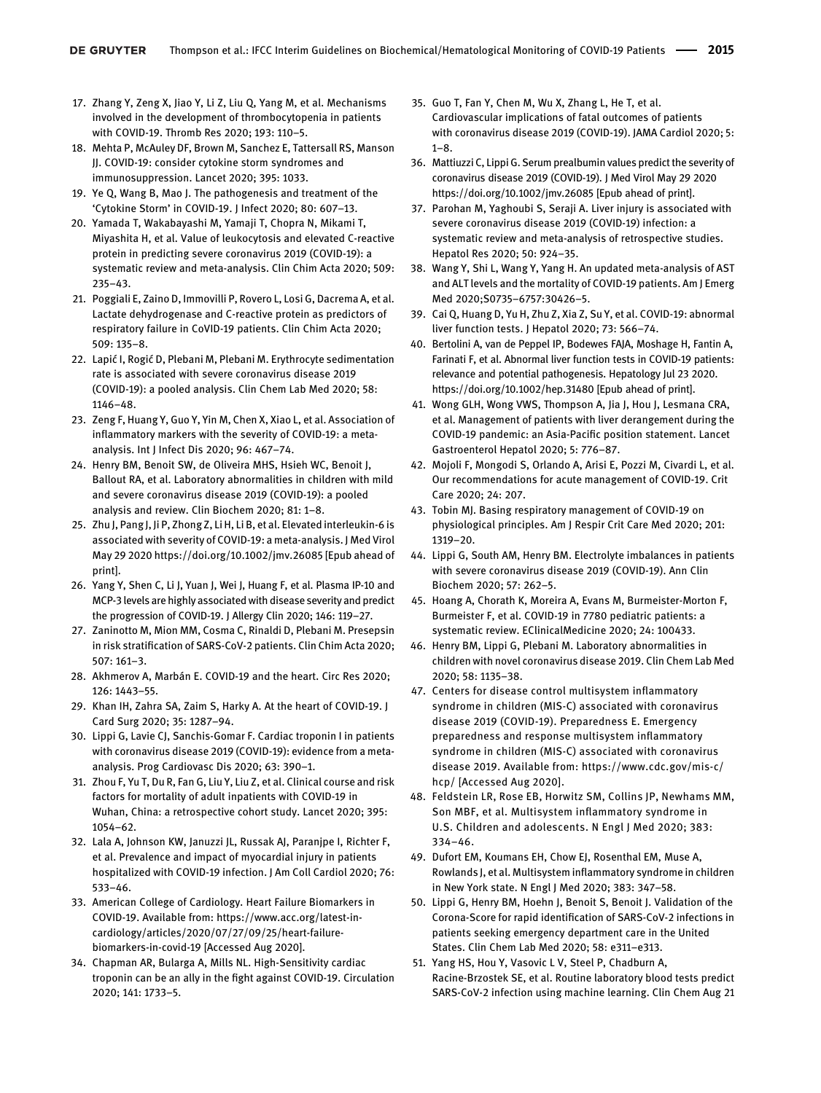- <span id="page-6-0"></span>17. Zhang Y, Zeng X, Jiao Y, Li Z, Liu Q, Yang M, et al. Mechanisms involved in the development of thrombocytopenia in patients with COVID-19. Thromb Res 2020; 193: 110–5.
- <span id="page-6-1"></span>18. Mehta P, McAuley DF, Brown M, Sanchez E, Tattersall RS, Manson JJ. COVID-19: consider cytokine storm syndromes and immunosuppression. Lancet 2020; 395: 1033.
- 19. Ye Q, Wang B, Mao J. The pathogenesis and treatment of the 'Cytokine Storm' in COVID-19. J Infect 2020; 80: 607–13.
- 20. Yamada T, Wakabayashi M, Yamaji T, Chopra N, Mikami T, Miyashita H, et al. Value of leukocytosis and elevated C-reactive protein in predicting severe coronavirus 2019 (COVID-19): a systematic review and meta-analysis. Clin Chim Acta 2020; 509: 235–43.
- 21. Poggiali E, Zaino D, Immovilli P, Rovero L, Losi G, Dacrema A, et al. Lactate dehydrogenase and C-reactive protein as predictors of respiratory failure in CoVID-19 patients. Clin Chim Acta 2020; 509: 135–8.
- <span id="page-6-2"></span>22. Lapić I, Rogić D, Plebani M, Plebani M. Erythrocyte sedimentation rate is associated with severe coronavirus disease 2019 (COVID-19): a pooled analysis. Clin Chem Lab Med 2020; 58: 1146–48.
- <span id="page-6-3"></span>23. Zeng F, Huang Y, Guo Y, Yin M, Chen X, Xiao L, et al. Association of inflammatory markers with the severity of COVID-19: a metaanalysis. Int J Infect Dis 2020; 96: 467–74.
- <span id="page-6-4"></span>24. Henry BM, Benoit SW, de Oliveira MHS, Hsieh WC, Benoit J, Ballout RA, et al. Laboratory abnormalities in children with mild and severe coronavirus disease 2019 (COVID-19): a pooled analysis and review. Clin Biochem 2020; 81: 1–8.
- <span id="page-6-5"></span>25. Zhu J, Pang J, Ji P, Zhong Z, Li H, Li B, et al. Elevated interleukin-6 is associated with severity of COVID-19: a meta-analysis. J Med Virol May 29 2020<https://doi.org/10.1002/jmv.26085> [Epub ahead of print].
- 26. Yang Y, Shen C, Li J, Yuan J, Wei J, Huang F, et al. Plasma IP-10 and MCP-3 levels are highly associated with disease severity and predict the progression of COVID-19. J Allergy Clin 2020; 146: 119–27.
- 27. Zaninotto M, Mion MM, Cosma C, Rinaldi D, Plebani M. Presepsin in risk stratification of SARS-CoV-2 patients. Clin Chim Acta 2020; 507: 161–3.
- <span id="page-6-6"></span>28. Akhmerov A, Marbán E. COVID-19 and the heart. Circ Res 2020; 126: 1443–55.
- 29. Khan IH, Zahra SA, Zaim S, Harky A. At the heart of COVID‐19. J Card Surg 2020; 35: 1287–94.
- <span id="page-6-7"></span>30. Lippi G, Lavie CJ, Sanchis-Gomar F. Cardiac troponin I in patients with coronavirus disease 2019 (COVID-19): evidence from a metaanalysis. Prog Cardiovasc Dis 2020; 63: 390–1.
- 31. Zhou F, Yu T, Du R, Fan G, Liu Y, Liu Z, et al. Clinical course and risk factors for mortality of adult inpatients with COVID-19 in Wuhan, China: a retrospective cohort study. Lancet 2020; 395: 1054–62.
- 32. Lala A, Johnson KW, Januzzi JL, Russak AJ, Paranjpe I, Richter F, et al. Prevalence and impact of myocardial injury in patients hospitalized with COVID-19 infection. J Am Coll Cardiol 2020; 76: 533–46.
- <span id="page-6-8"></span>33. American College of Cardiology. Heart Failure Biomarkers in COVID-19. Available from: [https://www.acc.org/latest-in](https://www.acc.org/latest-in-cardiology/articles/2020/07/27/09/25/heart-failure-biomarkers-in-covid-19)[cardiology/articles/2020/07/27/09/25/heart-failure](https://www.acc.org/latest-in-cardiology/articles/2020/07/27/09/25/heart-failure-biomarkers-in-covid-19)[biomarkers-in-covid-19](https://www.acc.org/latest-in-cardiology/articles/2020/07/27/09/25/heart-failure-biomarkers-in-covid-19) [Accessed Aug 2020].
- <span id="page-6-9"></span>34. Chapman AR, Bularga A, Mills NL. High-Sensitivity cardiac troponin can be an ally in the fight against COVID-19. Circulation 2020; 141: 1733–5.
- <span id="page-6-10"></span>35. Guo T, Fan Y, Chen M, Wu X, Zhang L, He T, et al. Cardiovascular implications of fatal outcomes of patients with coronavirus disease 2019 (COVID-19). JAMA Cardiol 2020; 5:  $1 - 8$ .
- <span id="page-6-11"></span>36. Mattiuzzi C, Lippi G. Serum prealbumin values predict the severity of coronavirus disease 2019 (COVID‐19). J Med Virol May 29 2020 <https://doi.org/10.1002/jmv.26085> [Epub ahead of print].
- 37. Parohan M, Yaghoubi S, Seraji A. Liver injury is associated with severe coronavirus disease 2019 (COVID‐19) infection: a systematic review and meta‐analysis of retrospective studies. Hepatol Res 2020; 50: 924–35.
- 38. Wang Y, Shi L, Wang Y, Yang H. An updated meta-analysis of AST and ALT levels and the mortality of COVID-19 patients. Am J Emerg Med 2020;S0735–6757:30426–5.
- <span id="page-6-12"></span>39. Cai Q, Huang D, Yu H, Zhu Z, Xia Z, Su Y, et al. COVID-19: abnormal liver function tests. J Hepatol 2020; 73: 566–74.
- 40. Bertolini A, van de Peppel IP, Bodewes FAJA, Moshage H, Fantin A, Farinati F, et al. Abnormal liver function tests in COVID‐19 patients: relevance and potential pathogenesis. Hepatology Jul 23 2020. <https://doi.org/10.1002/hep.31480> [Epub ahead of print].
- 41. Wong GLH, Wong VWS, Thompson A, Jia J, Hou J, Lesmana CRA, et al. Management of patients with liver derangement during the COVID-19 pandemic: an Asia-Pacific position statement. Lancet Gastroenterol Hepatol 2020; 5: 776–87.
- <span id="page-6-13"></span>42. Mojoli F, Mongodi S, Orlando A, Arisi E, Pozzi M, Civardi L, et al. Our recommendations for acute management of COVID-19. Crit Care 2020; 24: 207.
- <span id="page-6-14"></span>43. Tobin MJ. Basing respiratory management of COVID-19 on physiological principles. Am J Respir Crit Care Med 2020; 201: 1319–20.
- <span id="page-6-15"></span>44. Lippi G, South AM, Henry BM. Electrolyte imbalances in patients with severe coronavirus disease 2019 (COVID-19). Ann Clin Biochem 2020; 57: 262–5.
- <span id="page-6-16"></span>45. Hoang A, Chorath K, Moreira A, Evans M, Burmeister-Morton F, Burmeister F, et al. COVID-19 in 7780 pediatric patients: a systematic review. EClinicalMedicine 2020; 24: 100433.
- <span id="page-6-17"></span>46. Henry BM, Lippi G, Plebani M. Laboratory abnormalities in children with novel coronavirus disease 2019. Clin Chem Lab Med 2020; 58: 1135–38.
- <span id="page-6-18"></span>47. Centers for disease control multisystem inflammatory syndrome in children (MIS-C) associated with coronavirus disease 2019 (COVID-19). Preparedness E. Emergency preparedness and response multisystem inflammatory syndrome in children (MIS-C) associated with coronavirus disease 2019. Available from: [https://www.cdc.gov/mis-c/](https://www.cdc.gov/mis-c/hcp/) [hcp/](https://www.cdc.gov/mis-c/hcp/) [Accessed Aug 2020].
- 48. Feldstein LR, Rose EB, Horwitz SM, Collins JP, Newhams MM, Son MBF, et al. Multisystem inflammatory syndrome in U.S. Children and adolescents. N Engl J Med 2020; 383: 334–46.
- 49. Dufort EM, Koumans EH, Chow EJ, Rosenthal EM, Muse A, Rowlands J, et al. Multisystem inflammatory syndrome in children in New York state. N Engl J Med 2020; 383: 347–58.
- <span id="page-6-19"></span>50. Lippi G, Henry BM, Hoehn J, Benoit S, Benoit J. Validation of the Corona-Score for rapid identification of SARS-CoV-2 infections in patients seeking emergency department care in the United States. Clin Chem Lab Med 2020; 58: e311–e313.
- <span id="page-6-20"></span>51. Yang HS, Hou Y, Vasovic L V, Steel P, Chadburn A, Racine-Brzostek SE, et al. Routine laboratory blood tests predict SARS-CoV-2 infection using machine learning. Clin Chem Aug 21